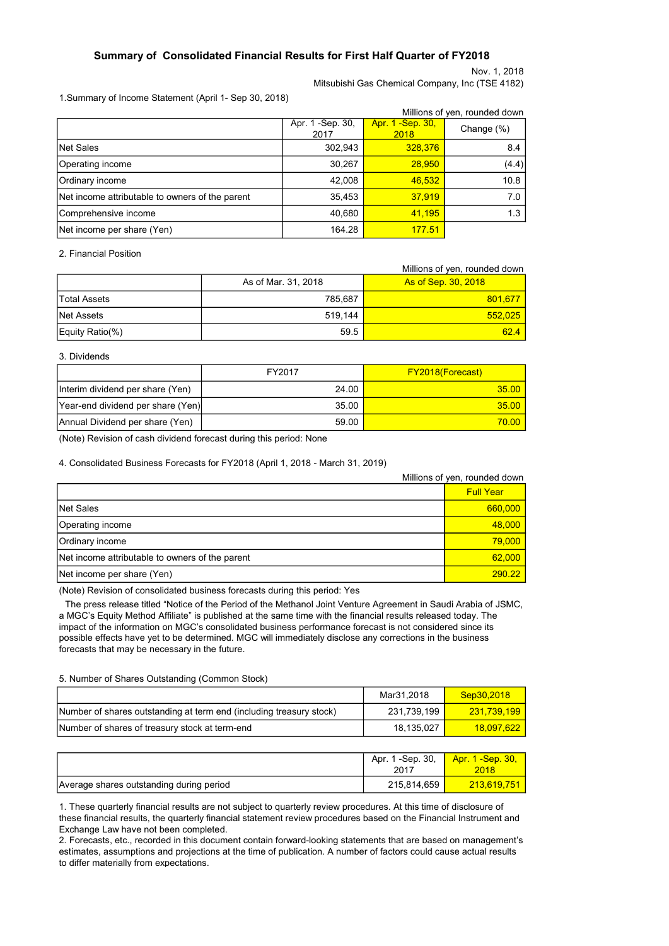### Summary of Consolidated Financial Results for First Half Quarter of FY2018

Nov. 1, 2018

Mitsubishi Gas Chemical Company, Inc (TSE 4182)

1.Summary of Income Statement (April 1- Sep 30, 2018)

|                                                 |                           |                           | Millions of yen, rounded down |
|-------------------------------------------------|---------------------------|---------------------------|-------------------------------|
|                                                 | Apr. 1 - Sep. 30,<br>2017 | Apr. 1 - Sep. 30,<br>2018 | Change $(\%)$                 |
| Net Sales                                       | 302,943                   | 328,376                   | 8.4                           |
| Operating income                                | 30,267                    | 28,950                    | (4.4)                         |
| Ordinary income                                 | 42,008                    | 46,532                    | 10.8                          |
| Net income attributable to owners of the parent | 35,453                    | 37,919                    | 7.0                           |
| Comprehensive income                            | 40,680                    | 41,195                    | 1.3                           |
| Net income per share (Yen)                      | 164.28                    | 177.51                    |                               |

2. Financial Position

|                 |                     | Millions of yen, rounded down |
|-----------------|---------------------|-------------------------------|
|                 | As of Mar. 31, 2018 | As of Sep. 30, 2018           |
| lTotal Assets   | 785.687             | 801,677                       |
| Net Assets      | 519.144             | 552,025                       |
| Equity Ratio(%) | 59.5                | 62.4                          |

#### 3. Dividends

|                                   | FY2017 | <b>FY2018(Forecast)</b> |
|-----------------------------------|--------|-------------------------|
| Interim dividend per share (Yen)  | 24.00  | 35.00                   |
| Year-end dividend per share (Yen) | 35.00  | 35.00                   |
| Annual Dividend per share (Yen)   | 59.00  | 70.00                   |

(Note) Revision of cash dividend forecast during this period: None

4. Consolidated Business Forecasts for FY2018 (April 1, 2018 - March 31, 2019)

|                                                 | Millions of yen, rounded down |
|-------------------------------------------------|-------------------------------|
|                                                 | <b>Full Year</b>              |
| <b>Net Sales</b>                                | 660,000                       |
| Operating income                                | 48,000                        |
| Ordinary income                                 | 79,000                        |
| Net income attributable to owners of the parent | 62,000                        |
| Net income per share (Yen)                      | 290.22                        |

(Note) Revision of consolidated business forecasts during this period: Yes

The press release titled "Notice of the Period of the Methanol Joint Venture Agreement in Saudi Arabia of JSMC, a MGC's Equity Method Affiliate" is published at the same time with the financial results released today. The impact of the information on MGC's consolidated business performance forecast is not considered since its possible effects have yet to be determined. MGC will immediately disclose any corrections in the business forecasts that may be necessary in the future.

5. Number of Shares Outstanding (Common Stock)

|                                                                     | Mar31.2018  | Sep30,2018  |
|---------------------------------------------------------------------|-------------|-------------|
| Number of shares outstanding at term end (including treasury stock) | 231.739.199 | 231.739.199 |
| Number of shares of treasury stock at term-end                      | 18.135.027  | 18.097.622  |

|                                          | Apr. 1 -Sep. 30,<br>2017 | Apr. 1 - Sep. 30,<br><b>2018</b> |
|------------------------------------------|--------------------------|----------------------------------|
| Average shares outstanding during period | 215,814,659              | 213,619,751                      |

1. These quarterly financial results are not subject to quarterly review procedures. At this time of disclosure of these financial results, the quarterly financial statement review procedures based on the Financial Instrument and Exchange Law have not been completed.

2. Forecasts, etc., recorded in this document contain forward-looking statements that are based on management's estimates, assumptions and projections at the time of publication. A number of factors could cause actual results to differ materially from expectations.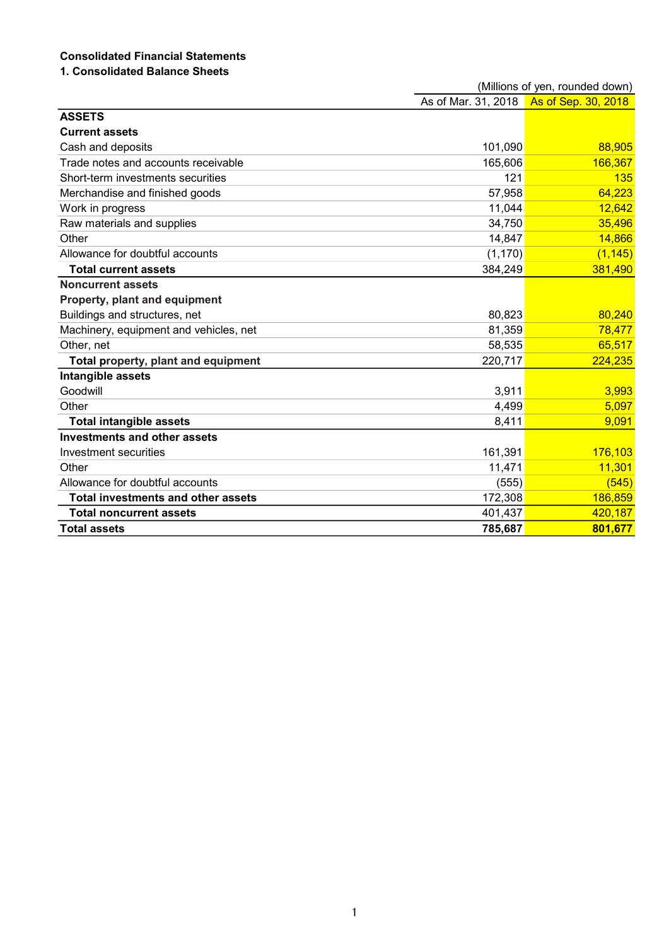# Consolidated Financial Statements

## 1. Consolidated Balance Sheets

|                                           |                     | (Millions of yen, rounded down) |
|-------------------------------------------|---------------------|---------------------------------|
|                                           | As of Mar. 31, 2018 | As of Sep. 30, 2018             |
| <b>ASSETS</b>                             |                     |                                 |
| <b>Current assets</b>                     |                     |                                 |
| Cash and deposits                         | 101,090             | 88,905                          |
| Trade notes and accounts receivable       | 165,606             | 166,367                         |
| Short-term investments securities         | 121                 | 135                             |
| Merchandise and finished goods            | 57,958              | 64,223                          |
| Work in progress                          | 11,044              | 12,642                          |
| Raw materials and supplies                | 34,750              | 35,496                          |
| Other                                     | 14,847              | 14,866                          |
| Allowance for doubtful accounts           | (1, 170)            | (1, 145)                        |
| <b>Total current assets</b>               | 384,249             | 381,490                         |
| <b>Noncurrent assets</b>                  |                     |                                 |
| Property, plant and equipment             |                     |                                 |
| Buildings and structures, net             | 80,823              | 80,240                          |
| Machinery, equipment and vehicles, net    | 81,359              | 78,477                          |
| Other, net                                | 58,535              | 65,517                          |
| Total property, plant and equipment       | 220,717             | 224,235                         |
| Intangible assets                         |                     |                                 |
| Goodwill                                  | 3,911               | 3,993                           |
| Other                                     | 4,499               | 5,097                           |
| <b>Total intangible assets</b>            | 8,411               | 9,091                           |
| <b>Investments and other assets</b>       |                     |                                 |
| Investment securities                     | 161,391             | 176,103                         |
| Other                                     | 11,471              | 11,301                          |
| Allowance for doubtful accounts           | (555)               | (545)                           |
| <b>Total investments and other assets</b> | 172,308             | 186,859                         |
| <b>Total noncurrent assets</b>            | 401,437             | 420,187                         |
| <b>Total assets</b>                       | 785,687             | 801,677                         |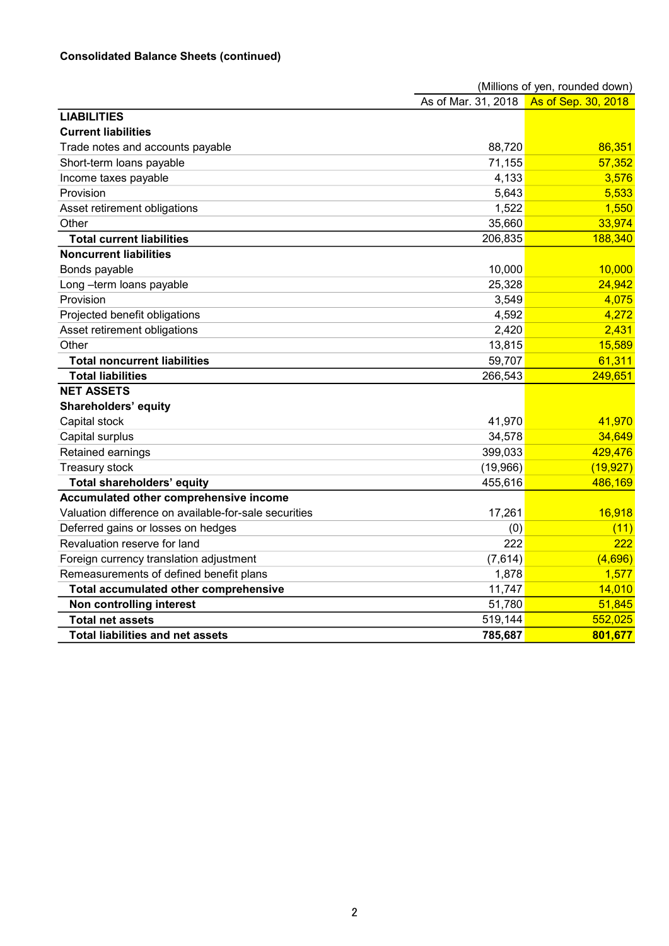## Consolidated Balance Sheets (continued)

|                                                       |                     | (Millions of yen, rounded down) |
|-------------------------------------------------------|---------------------|---------------------------------|
|                                                       | As of Mar. 31, 2018 | As of Sep. 30, 2018             |
| <b>LIABILITIES</b>                                    |                     |                                 |
| <b>Current liabilities</b>                            |                     |                                 |
| Trade notes and accounts payable                      | 88,720              | 86,351                          |
| Short-term loans payable                              | 71,155              | 57,352                          |
| Income taxes payable                                  | 4,133               | 3,576                           |
| Provision                                             | 5,643               | 5,533                           |
| Asset retirement obligations                          | 1,522               | 1,550                           |
| Other                                                 | 35,660              | 33,974                          |
| <b>Total current liabilities</b>                      | 206,835             | 188,340                         |
| <b>Noncurrent liabilities</b>                         |                     |                                 |
| Bonds payable                                         | 10,000              | 10,000                          |
| Long-term loans payable                               | 25,328              | 24,942                          |
| Provision                                             | 3,549               | 4,075                           |
| Projected benefit obligations                         | 4,592               | 4,272                           |
| Asset retirement obligations                          | 2,420               | 2,431                           |
| Other                                                 | 13,815              | 15,589                          |
| <b>Total noncurrent liabilities</b>                   | 59,707              | 61,311                          |
| <b>Total liabilities</b>                              | 266,543             | 249,651                         |
| <b>NET ASSETS</b>                                     |                     |                                 |
| <b>Shareholders' equity</b>                           |                     |                                 |
| Capital stock                                         | 41,970              | 41,970                          |
| Capital surplus                                       | 34,578              | 34,649                          |
| Retained earnings                                     | 399,033             | 429,476                         |
| Treasury stock                                        | (19,966)            | (19, 927)                       |
| <b>Total shareholders' equity</b>                     | 455,616             | 486,169                         |
| Accumulated other comprehensive income                |                     |                                 |
| Valuation difference on available-for-sale securities | 17,261              | 16,918                          |
| Deferred gains or losses on hedges                    | (0)                 | (11)                            |
| Revaluation reserve for land                          | 222                 | 222                             |
| Foreign currency translation adjustment               | (7,614)             | (4,696)                         |
| Remeasurements of defined benefit plans               | 1,878               | 1,577                           |
| Total accumulated other comprehensive                 | 11,747              | 14,010                          |
| Non controlling interest                              | 51,780              | 51,845                          |
| <b>Total net assets</b>                               | 519,144             | 552,025                         |
| <b>Total liabilities and net assets</b>               | 785,687             | 801,677                         |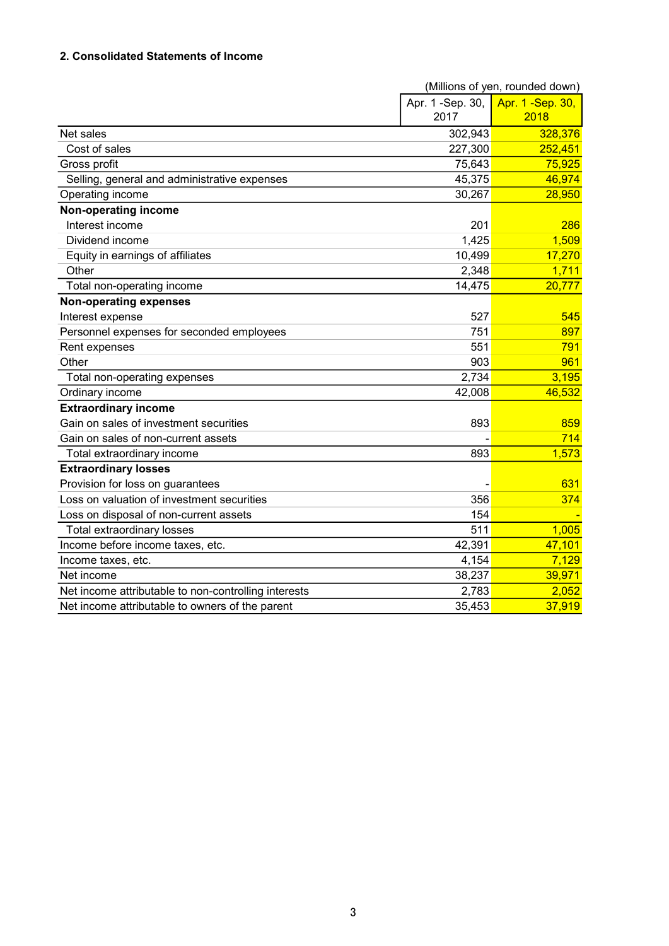## 2. Consolidated Statements of Income

|                                                      |                   | (Millions of yen, rounded down) |
|------------------------------------------------------|-------------------|---------------------------------|
|                                                      | Apr. 1 - Sep. 30, | Apr. 1 - Sep. 30,               |
|                                                      | 2017              | 2018                            |
| Net sales                                            | 302,943           | 328,376                         |
| Cost of sales                                        | 227,300           | 252,451                         |
| Gross profit                                         | 75,643            | 75,925                          |
| Selling, general and administrative expenses         | 45,375            | 46,974                          |
| Operating income                                     | 30,267            | 28,950                          |
| Non-operating income                                 |                   |                                 |
| Interest income                                      | 201               | 286                             |
| Dividend income                                      | 1,425             | 1,509                           |
| Equity in earnings of affiliates                     | 10,499            | 17,270                          |
| Other                                                | 2,348             | 1,711                           |
| Total non-operating income                           | 14,475            | 20,777                          |
| <b>Non-operating expenses</b>                        |                   |                                 |
| Interest expense                                     | 527               | 545                             |
| Personnel expenses for seconded employees            | 751               | 897                             |
| Rent expenses                                        | 551               | 791                             |
| Other                                                | 903               | 961                             |
| Total non-operating expenses                         | 2,734             | 3,195                           |
| Ordinary income                                      | 42,008            | 46,532                          |
| <b>Extraordinary income</b>                          |                   |                                 |
| Gain on sales of investment securities               | 893               | 859                             |
| Gain on sales of non-current assets                  |                   | 714                             |
| Total extraordinary income                           | 893               | 1,573                           |
| <b>Extraordinary losses</b>                          |                   |                                 |
| Provision for loss on guarantees                     |                   | 631                             |
| Loss on valuation of investment securities           | 356               | 374                             |
| Loss on disposal of non-current assets               | 154               |                                 |
| Total extraordinary losses                           | 511               | 1,005                           |
| Income before income taxes, etc.                     | 42,391            | 47,101                          |
| Income taxes, etc.                                   | 4,154             | 7,129                           |
| Net income                                           | 38,237            | 39,971                          |
| Net income attributable to non-controlling interests | 2,783             | 2,052                           |
| Net income attributable to owners of the parent      | 35,453            | 37,919                          |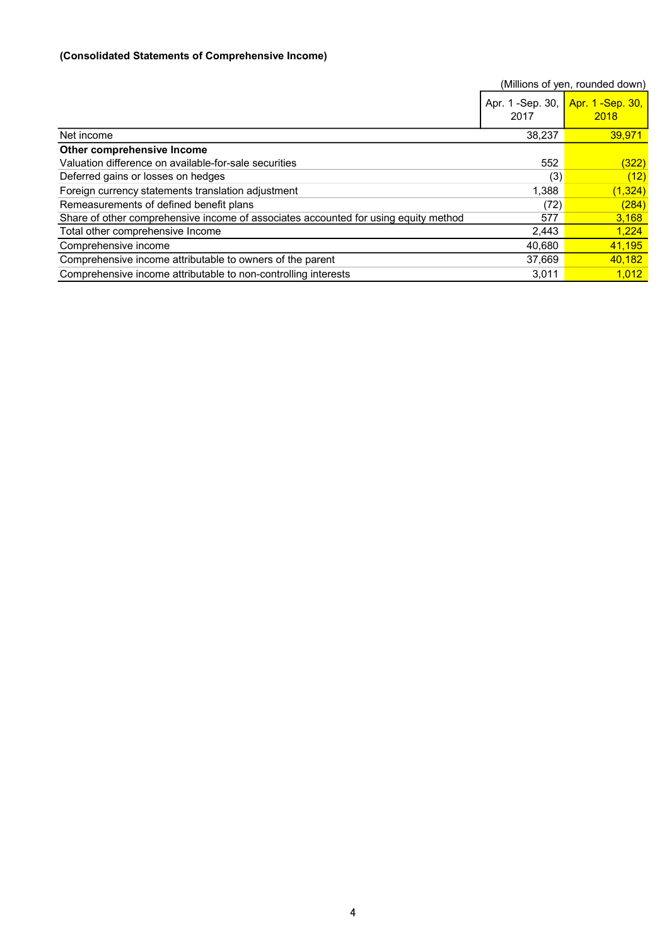### (Consolidated Statements of Comprehensive Income)

|                                                                                     |                           | (Millions of yen, rounded down) |
|-------------------------------------------------------------------------------------|---------------------------|---------------------------------|
|                                                                                     | Apr. 1 - Sep. 30,<br>2017 | Apr. 1 - Sep. 30,<br>2018       |
| Net income                                                                          | 38,237                    | 39.971                          |
| Other comprehensive Income                                                          |                           |                                 |
| Valuation difference on available-for-sale securities                               | 552                       | <u>(322)</u>                    |
| Deferred gains or losses on hedges                                                  | (3)                       | (12)                            |
| Foreign currency statements translation adjustment                                  | 1,388                     | (1, 324)                        |
| Remeasurements of defined benefit plans                                             | (72)                      | (284)                           |
| Share of other comprehensive income of associates accounted for using equity method | 577                       | 3,168                           |
| Total other comprehensive Income                                                    | 2,443                     | 1.224                           |
| Comprehensive income                                                                | 40,680                    | 41,195                          |
| Comprehensive income attributable to owners of the parent                           | 37,669                    | 40,182                          |
| Comprehensive income attributable to non-controlling interests                      | 3,011                     | 1.012                           |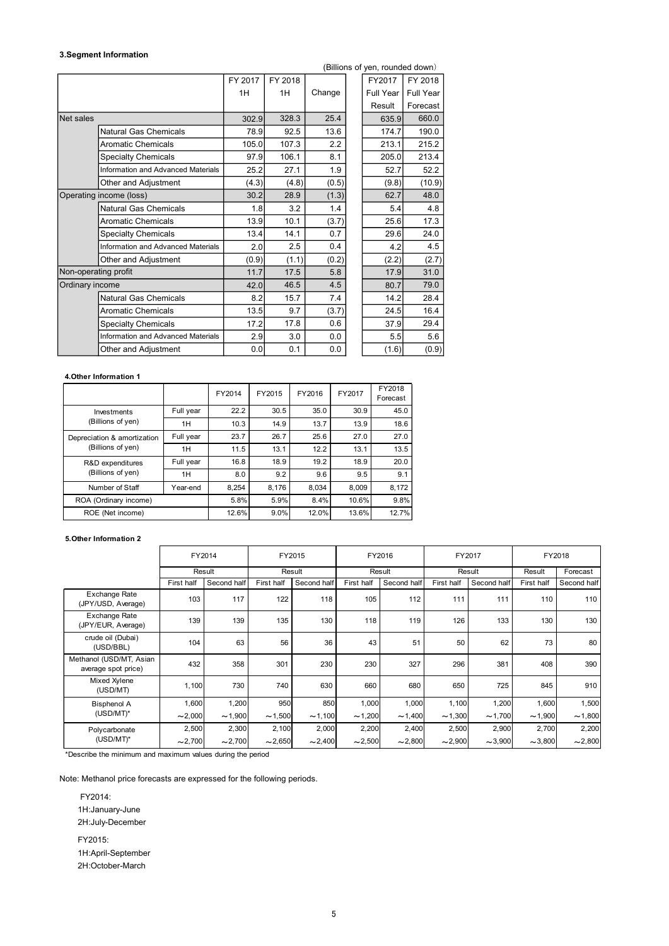### 3.Segment Information

|                         |                                           |                                                                                             |         |              |        |         |        | (Billions of yen, rounded down) |           |        |        |            |             |
|-------------------------|-------------------------------------------|---------------------------------------------------------------------------------------------|---------|--------------|--------|---------|--------|---------------------------------|-----------|--------|--------|------------|-------------|
|                         |                                           | FY 2017                                                                                     | FY 2018 |              |        |         | FY2017 | FY 2018                         |           |        |        |            |             |
|                         |                                           |                                                                                             | 1H      |              | 1H     | Change  |        | Full Year                       | Full Year |        |        |            |             |
|                         |                                           |                                                                                             |         |              |        |         |        | Result                          | Forecast  |        |        |            |             |
| Net sales               |                                           |                                                                                             |         | 302.9        | 328.3  | 25.4    |        | 635.9                           | 660.0     |        |        |            |             |
|                         | <b>Natural Gas Chemicals</b>              |                                                                                             |         | 78.9         | 92.5   | 13.6    |        | 174.7                           | 190.0     |        |        |            |             |
|                         | <b>Aromatic Chemicals</b>                 |                                                                                             |         | 105.0        | 107.3  | 2.2     |        | 213.1                           | 215.2     |        |        |            |             |
|                         | <b>Specialty Chemicals</b>                |                                                                                             |         | 97.9         | 106.1  | 8.1     |        | 205.0                           | 213.4     |        |        |            |             |
|                         | Information and Advanced Materials        |                                                                                             |         | 25.2         | 27.1   | 1.9     |        | 52.7                            |           | 52.2   |        |            |             |
|                         | Other and Adjustment                      |                                                                                             |         | (4.3)        | (4.8)  | (0.5)   |        | (9.8)                           |           | (10.9) |        |            |             |
| Operating income (loss) |                                           |                                                                                             |         | 30.2         | 28.9   | (1.3)   |        | 62.7                            |           | 48.0   |        |            |             |
|                         | Natural Gas Chemicals                     |                                                                                             |         | 1.8          | 3.2    | $1.4$   |        | 5.4                             |           | 4.8    |        |            |             |
|                         | <b>Aromatic Chemicals</b>                 |                                                                                             |         | 13.9         | 10.1   | (3.7)   |        | 25.6                            |           | 17.3   |        |            |             |
|                         | <b>Specialty Chemicals</b>                |                                                                                             |         | 13.4         | 14.1   | 0.7     |        | 29.6                            |           | 24.0   |        |            |             |
|                         | <b>Information and Advanced Materials</b> |                                                                                             |         | 2.0          | 2.5    | 0.4     |        | 4.2                             |           | 4.5    |        |            |             |
|                         | Other and Adjustment                      |                                                                                             |         | (0.9)        | (1.1)  | (0.2)   |        | (2.2)                           |           | (2.7)  |        |            |             |
| Non-operating profit    |                                           |                                                                                             |         | 11.7         | 17.5   | 5.8     |        | 17.9                            |           | 31.0   |        |            |             |
| Ordinary income         |                                           |                                                                                             |         | 42.0         | 46.5   | 4.5     | 80.7   |                                 | 79.0      |        |        |            |             |
|                         | <b>Natural Gas Chemicals</b>              |                                                                                             |         | 8.2          | 15.7   | 7.4     |        | 14.2                            |           | 28.4   |        |            |             |
|                         | <b>Aromatic Chemicals</b>                 |                                                                                             |         | 13.5         | 9.7    | (3.7)   |        | 24.5                            |           | 16.4   |        |            |             |
|                         | <b>Specialty Chemicals</b>                |                                                                                             |         | 17.8<br>17.2 |        | 0.6     |        | 37.9                            |           | 29.4   |        |            |             |
|                         | Information and Advanced Materials        |                                                                                             |         | 2.9          | 3.0    |         | 0.0    | 5.5                             |           | 5.6    |        |            |             |
|                         | Other and Adjustment                      |                                                                                             |         | 0.0          | 0.1    | $0.0\,$ |        | (1.6)                           |           | (0.9)  |        |            |             |
|                         |                                           |                                                                                             |         |              |        |         |        |                                 |           |        |        |            |             |
| 4. Other Information 1  |                                           |                                                                                             |         |              |        |         |        |                                 |           |        |        |            |             |
|                         |                                           |                                                                                             | FY2014  | FY2015       |        | FY2016  | FY2017 | FY2018<br>Forecast              |           |        |        |            |             |
|                         | Investments                               | Full year                                                                                   | 22.2    | 30.5         |        | 35.0    | 30.9   | 45.0                            |           |        |        |            |             |
|                         | (Billions of yen)                         | 1H                                                                                          | 10.3    | 14.9         |        | 13.7    | 13.9   | 18.6                            |           |        |        |            |             |
|                         | Depreciation & amortization               | Full year                                                                                   | 23.7    | 26.7         |        | 25.6    | 27.0   | 27.0                            |           |        |        |            |             |
|                         | (Billions of yen)                         | 1H                                                                                          | 11.5    | 13.1         |        | 12.2    | 13.1   | 13.5                            |           |        |        |            |             |
|                         | R&D expenditures                          | Full year                                                                                   | 16.8    | 18.9         |        | 19.2    | 18.9   | 20.0                            |           |        |        |            |             |
|                         | (Billions of yen)                         | 1H                                                                                          | 8.0     | 9.2          |        | 9.6     |        | 9.5                             | 9.1       |        |        |            |             |
|                         | Number of Staff                           | Year-end                                                                                    | 8,254   | 8,176        |        | 8,034   | 8,009  | 8,172                           |           |        |        |            |             |
|                         | ROA (Ordinary income)                     |                                                                                             | 5.8%    | 5.9%         |        | 8.4%    | 10.6%  | 9.8%                            |           |        |        |            |             |
|                         | ROE (Net income)                          |                                                                                             | 12.6%   | 9.0%         |        | 12.0%   | 13.6%  | 12.7%                           |           |        |        |            |             |
|                         |                                           |                                                                                             |         |              |        |         |        |                                 |           |        |        |            |             |
| 5. Other Information 2  |                                           |                                                                                             |         |              |        |         |        |                                 |           |        |        |            |             |
|                         |                                           | FY2014                                                                                      |         |              | FY2015 |         |        | FY2016                          |           |        | FY2017 |            | FY2018      |
|                         |                                           | Result                                                                                      |         |              | Result |         |        | Result                          |           |        | Result | Result     | Forecast    |
|                         |                                           | First half Second half Eirst half Second half Eirst half Second half Eirst half Second half |         |              |        |         |        |                                 |           |        |        | First half | Second half |

#### 4.Other Information 1

|                             |           | FY2014 | FY2015 | FY2016 | FY2017 | FY2018<br>Forecast |
|-----------------------------|-----------|--------|--------|--------|--------|--------------------|
| Investments                 | Full year | 22.2   | 30.5   | 35.0   | 30.9   | 45.0               |
| (Billions of yen)           | 1H        | 10.3   | 14.9   | 13.7   | 13.9   | 18.6               |
| Depreciation & amortization | Full year | 23.7   | 26.7   | 25.6   | 27.0   | 27.0               |
| (Billions of yen)           | 1H        | 11.5   | 13.1   | 12.2   | 13.1   | 13.5               |
| R&D expenditures            | Full year | 16.8   | 18.9   | 19.2   | 18.9   | 20.0               |
| (Billions of yen)           | 1H        | 8.0    | 9.2    | 9.6    | 9.5    | 9.1                |
| Number of Staff             | Year-end  | 8.254  | 8.176  | 8,034  | 8.009  | 8,172              |
| ROA (Ordinary income)       |           | 5.8%   | 5.9%   | 8.4%   | 10.6%  | 9.8%               |
| ROE (Net income)            |           | 12.6%  | 9.0%   | 12.0%  | 13.6%  | 12.7%              |

#### 5.Other Information 2

| Ordinary income                                                         |              |              | 42.0         | 46.5         | $4.5\,$      | 80.7               | 79.0         |              |              |             |
|-------------------------------------------------------------------------|--------------|--------------|--------------|--------------|--------------|--------------------|--------------|--------------|--------------|-------------|
| Natural Gas Chemicals                                                   |              |              | 8.2          | 15.7         | $7.4$        | 14.2               | 28.4         |              |              |             |
| <b>Aromatic Chemicals</b>                                               |              |              | 13.5         | 9.7          | (3.7)        | 24.5               | 16.4         |              |              |             |
| <b>Specialty Chemicals</b>                                              |              |              | 17.2         | 17.8         | 0.6          | 37.9               | 29.4         |              |              |             |
| Information and Advanced Materials                                      |              |              | 2.9          | 3.0          | $0.0\,$      | 5.5                | $5.6\,$      |              |              |             |
| Other and Adjustment                                                    |              |              | 0.0          | 0.1          | 0.0          | (1.6)              | (0.9)        |              |              |             |
|                                                                         |              |              |              |              |              |                    |              |              |              |             |
| 4. Other Information 1                                                  |              |              |              |              |              |                    |              |              |              |             |
|                                                                         |              | FY2014       | FY2015       | FY2016       | FY2017       | FY2018<br>Forecast |              |              |              |             |
| Investments                                                             | Full year    | 22.2         | 30.5         | 35.0         | 30.9         | 45.0               |              |              |              |             |
| (Billions of yen)                                                       | 1H           | 10.3         | 14.9         | 13.7         | 13.9         | 18.6               |              |              |              |             |
| Depreciation & amortization                                             | Full year    | 23.7         | 26.7         | 25.6         | 27.0         | 27.0               |              |              |              |             |
| (Billions of yen)                                                       | 1H           | 11.5         | 13.1         | 12.2         | 13.1         | 13.5               |              |              |              |             |
| R&D expenditures                                                        | Full year    | 16.8         | 18.9         | 19.2         | 18.9         | 20.0               |              |              |              |             |
| (Billions of yen)                                                       | 1H           | 8.0          | 9.2          | 9.6          | 9.5          | 9.1                |              |              |              |             |
| Number of Staff                                                         | Year-end     | 8,254        | 8,176        | 8,034        | 8,009        | 8,172              |              |              |              |             |
| ROA (Ordinary income)                                                   |              | 5.8%         | 5.9%         | 8.4%         | 10.6%        | 9.8%               |              |              |              |             |
| ROE (Net income)                                                        |              | 12.6%        | 9.0%         | 12.0%        | 13.6%        | 12.7%              |              |              |              |             |
| 5. Other Information 2                                                  |              |              |              |              |              |                    |              |              |              |             |
|                                                                         | FY2014       |              |              | FY2015       |              | FY2016             |              | FY2017       |              | FY2018      |
| Result                                                                  |              |              |              | Result       |              | Result             |              | Result       | Result       | Forecast    |
| Exchange Rate                                                           | First half   | Second half  | First half   | Second half  | First half   | Second half        | First half   | Second hal   | First half   | Second half |
| (JPY/USD, Average)                                                      | 103          | 117          | 122          | 118          | 105          | 112                | 111          | 111          | 110          | 110         |
| Exchange Rate<br>(JPY/EUR, Average)                                     | 139          | 139          | 135          | 130          | 118          | 119                | 126          | 133          | 130          | 130         |
| crude oil (Dubai)<br>(USD/BBL)                                          | 104          | 63           | 56           | 36           | 43           | 51                 | 50           | 62           | 73           | 80          |
| Methanol (USD/MT, Asian<br>average spot price)                          | 432          | 358          | 301          | 230          | 230          | 327                | 296          | 381          | 408          | 390         |
| Mixed Xylene<br>(USD/MT)                                                | 1,100        | 730          | 740          | 630          | 660          | 680                | 650          | 725          | 845          | 910         |
| <b>Bisphenol A</b><br>(USD/MT)*                                         | 1,600        | 1,200        | 950          | 850          | 1,000        | 1,000              | 1,100        | 1,200        | 1,600        | 1,500       |
|                                                                         | $\sim$ 2,000 | ~1,900       | $\sim$ 1,500 | $\sim$ 1,100 | $\sim$ 1,200 | ~1,400             | $\sim$ 1,300 | $\sim$ 1,700 | $\sim$ 1,900 | ~1,800      |
| Polycarbonate<br>$(USD/MT)^*$                                           | 2,500        | 2,300        | 2,100        | 2,000        | 2,200        | 2,400              | 2,500        | 2,900        | 2,700        | 2,200       |
|                                                                         | $\sim$ 2,700 | $\sim$ 2,700 | $\sim$ 2,650 | ~2,400       | $\sim$ 2,500 | $\sim$ 2,800       | $\sim$ 2,900 | ~1,000       | $-3,800$     | $-2,800$    |
| *Describe the minimum and maximum values during the period              |              |              |              |              |              |                    |              |              |              |             |
|                                                                         |              |              |              |              |              |                    |              |              |              |             |
| lote: Methanol price forecasts are expressed for the following periods. |              |              |              |              |              |                    |              |              |              |             |
| FY2014:                                                                 |              |              |              |              |              |                    |              |              |              |             |

 FY2014: 1H:January-June 2H:July-December FY2015: 1H:April-September

2H:October-March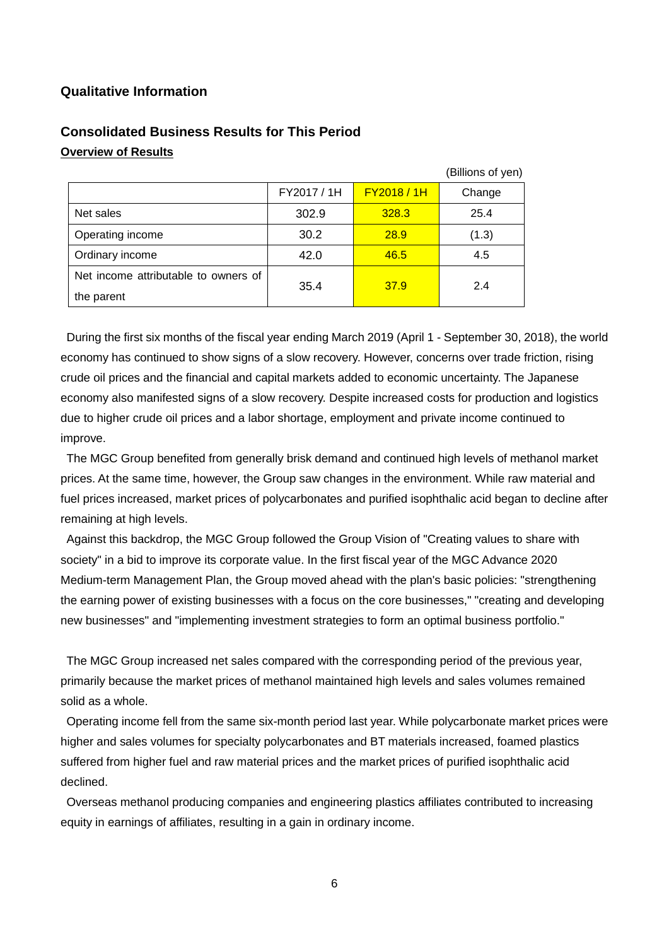## **Qualitative Information**

|                                      |             |                    | (Billions of yen) |
|--------------------------------------|-------------|--------------------|-------------------|
|                                      | FY2017 / 1H | <b>FY2018 / 1H</b> | Change            |
| Net sales                            | 302.9       | 328.3              | 25.4              |
| Operating income                     | 30.2        | 28.9               | (1.3)             |
| Ordinary income                      | 42.0        | 46.5               | 4.5               |
| Net income attributable to owners of | 35.4        | 37.9               | 2.4               |
| the parent                           |             |                    |                   |

# **Consolidated Business Results for This Period Overview of Results**

During the first six months of the fiscal year ending March 2019 (April 1 - September 30, 2018), the world economy has continued to show signs of a slow recovery. However, concerns over trade friction, rising crude oil prices and the financial and capital markets added to economic uncertainty. The Japanese economy also manifested signs of a slow recovery. Despite increased costs for production and logistics due to higher crude oil prices and a labor shortage, employment and private income continued to improve.

The MGC Group benefited from generally brisk demand and continued high levels of methanol market prices. At the same time, however, the Group saw changes in the environment. While raw material and fuel prices increased, market prices of polycarbonates and purified isophthalic acid began to decline after remaining at high levels.

Against this backdrop, the MGC Group followed the Group Vision of "Creating values to share with society" in a bid to improve its corporate value. In the first fiscal year of the MGC Advance 2020 Medium-term Management Plan, the Group moved ahead with the plan's basic policies: "strengthening the earning power of existing businesses with a focus on the core businesses," "creating and developing new businesses" and "implementing investment strategies to form an optimal business portfolio."

The MGC Group increased net sales compared with the corresponding period of the previous year, primarily because the market prices of methanol maintained high levels and sales volumes remained solid as a whole.

Operating income fell from the same six-month period last year. While polycarbonate market prices were higher and sales volumes for specialty polycarbonates and BT materials increased, foamed plastics suffered from higher fuel and raw material prices and the market prices of purified isophthalic acid declined.

Overseas methanol producing companies and engineering plastics affiliates contributed to increasing equity in earnings of affiliates, resulting in a gain in ordinary income.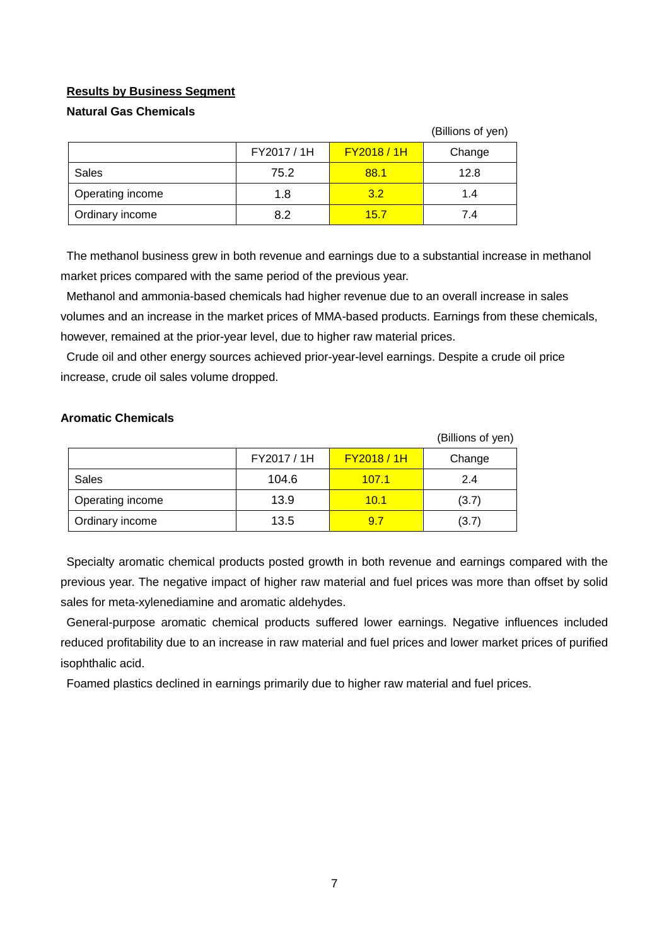### **Results by Business Segment**

### **Natural Gas Chemicals**

|                  |             |                    | (Billions of yen) |
|------------------|-------------|--------------------|-------------------|
|                  | FY2017 / 1H | <b>FY2018 / 1H</b> | Change            |
| Sales            | 75.2        | 88.1               | 12.8              |
| Operating income | 1.8         | 3.2                | 1.4               |
| Ordinary income  | 8.2         | 15.7               | 7.4               |

The methanol business grew in both revenue and earnings due to a substantial increase in methanol market prices compared with the same period of the previous year.

Methanol and ammonia-based chemicals had higher revenue due to an overall increase in sales volumes and an increase in the market prices of MMA-based products. Earnings from these chemicals, however, remained at the prior-year level, due to higher raw material prices.

Crude oil and other energy sources achieved prior-year-level earnings. Despite a crude oil price increase, crude oil sales volume dropped.

### **Aromatic Chemicals**

|                  |             |                    | (Billions of yen) |
|------------------|-------------|--------------------|-------------------|
|                  | FY2017 / 1H | <b>FY2018 / 1H</b> | Change            |
| Sales            | 104.6       | 107.1              | 2.4               |
| Operating income | 13.9        | 10.1               | (3.7)             |
| Ordinary income  | 13.5        | 9.7                | (3.7)             |

Specialty aromatic chemical products posted growth in both revenue and earnings compared with the previous year. The negative impact of higher raw material and fuel prices was more than offset by solid sales for meta-xylenediamine and aromatic aldehydes.

General-purpose aromatic chemical products suffered lower earnings. Negative influences included reduced profitability due to an increase in raw material and fuel prices and lower market prices of purified isophthalic acid.

Foamed plastics declined in earnings primarily due to higher raw material and fuel prices.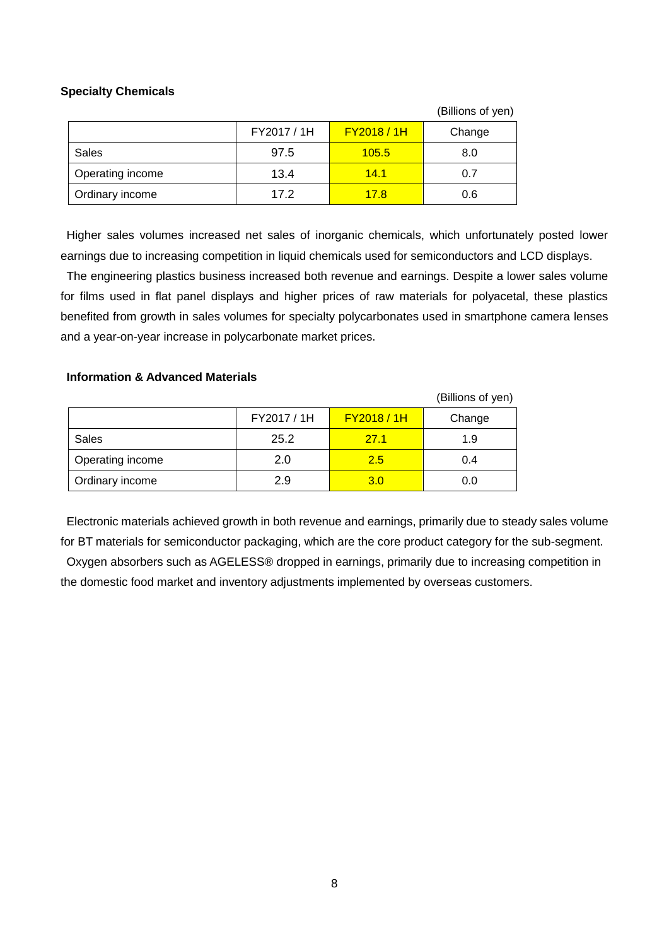### **Specialty Chemicals**

|                  |             |                  | (Billions of yen) |
|------------------|-------------|------------------|-------------------|
|                  | FY2017 / 1H | <b>FY2018/1H</b> | Change            |
| Sales            | 97.5        | 105.5            | 8.0               |
| Operating income | 13.4        | 14.1             | 0.7               |
| Ordinary income  | 17.2        | 17.8             | 0.6               |

Higher sales volumes increased net sales of inorganic chemicals, which unfortunately posted lower earnings due to increasing competition in liquid chemicals used for semiconductors and LCD displays.

The engineering plastics business increased both revenue and earnings. Despite a lower sales volume for films used in flat panel displays and higher prices of raw materials for polyacetal, these plastics benefited from growth in sales volumes for specialty polycarbonates used in smartphone camera lenses and a year-on-year increase in polycarbonate market prices.

### **Information & Advanced Materials**

|                  |             |                    | (Billions of yen) |
|------------------|-------------|--------------------|-------------------|
|                  | FY2017 / 1H | <b>FY2018 / 1H</b> | Change            |
| Sales            | 25.2        | 27.1               | 1.9               |
| Operating income | 2.0         | 2.5                | 0.4               |
| Ordinary income  | 2.9         | 3.0                | 0.0               |

Electronic materials achieved growth in both revenue and earnings, primarily due to steady sales volume for BT materials for semiconductor packaging, which are the core product category for the sub-segment. Oxygen absorbers such as AGELESS® dropped in earnings, primarily due to increasing competition in the domestic food market and inventory adjustments implemented by overseas customers.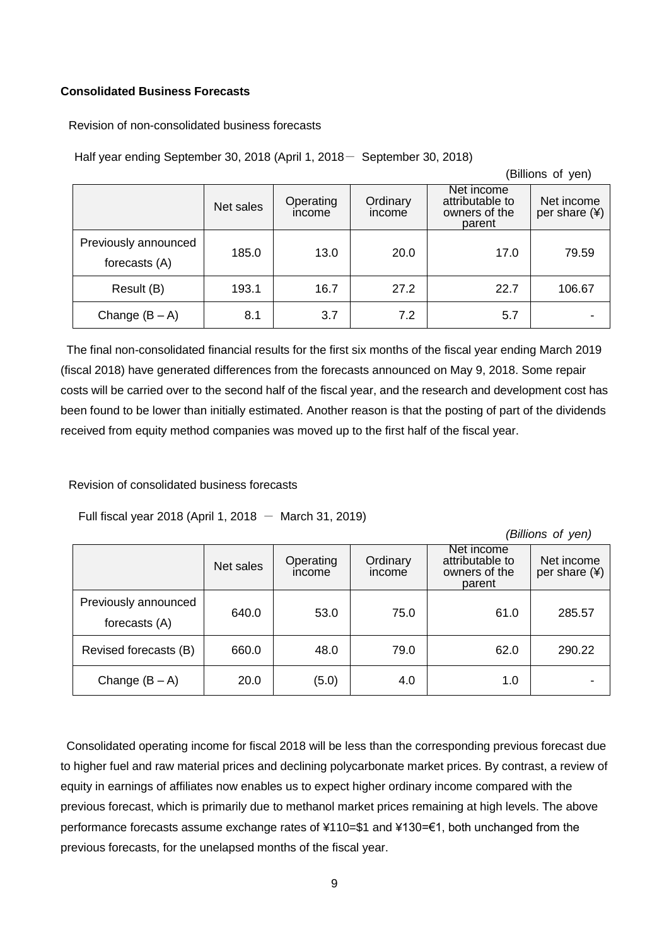### **Consolidated Business Forecasts**

Revision of non-consolidated business forecasts

Half year ending September 30, 2018 (April 1, 2018- September 30, 2018)

|                                       |           |                     |                    |                                                          | (Billions of yen)             |
|---------------------------------------|-----------|---------------------|--------------------|----------------------------------------------------------|-------------------------------|
|                                       | Net sales | Operating<br>income | Ordinary<br>income | Net income<br>attributable to<br>owners of the<br>parent | Net income<br>per share $(*)$ |
| Previously announced<br>forecasts (A) | 185.0     | 13.0                | 20.0               | 17.0                                                     | 79.59                         |
| Result (B)                            | 193.1     | 16.7                | 27.2               | 22.7                                                     | 106.67                        |
| Change $(B - A)$                      | 8.1       | 3.7                 | 7.2                | 5.7                                                      |                               |

The final non-consolidated financial results for the first six months of the fiscal year ending March 2019 (fiscal 2018) have generated differences from the forecasts announced on May 9, 2018. Some repair costs will be carried over to the second half of the fiscal year, and the research and development cost has been found to be lower than initially estimated. Another reason is that the posting of part of the dividends received from equity method companies was moved up to the first half of the fiscal year.

Revision of consolidated business forecasts

Full fiscal year 2018 (April 1, 2018  $-$  March 31, 2019)

*(Billions of yen)*

|                                       | Net sales | Operating<br>income | Ordinary<br>income | Net income<br>attributable to<br>owners of the<br>parent | Net income<br>per share (¥) |
|---------------------------------------|-----------|---------------------|--------------------|----------------------------------------------------------|-----------------------------|
| Previously announced<br>forecasts (A) | 640.0     | 53.0                | 75.0               | 61.0                                                     | 285.57                      |
| Revised forecasts (B)                 | 660.0     | 48.0                | 79.0               | 62.0                                                     | 290.22                      |
| Change $(B - A)$                      | 20.0      | (5.0)               | 4.0                | 1.0                                                      |                             |

Consolidated operating income for fiscal 2018 will be less than the corresponding previous forecast due to higher fuel and raw material prices and declining polycarbonate market prices. By contrast, a review of equity in earnings of affiliates now enables us to expect higher ordinary income compared with the previous forecast, which is primarily due to methanol market prices remaining at high levels. The above performance forecasts assume exchange rates of ¥110=\$1 and ¥130=€1, both unchanged from the previous forecasts, for the unelapsed months of the fiscal year.